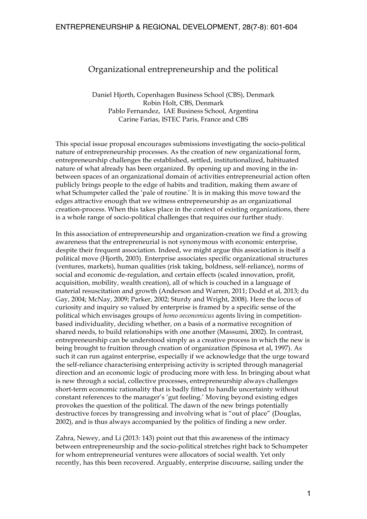# Organizational entrepreneurship and the political

Daniel Hjorth, Copenhagen Business School (CBS), Denmark Robin Holt, CBS, Denmark Pablo Fernandez, IAE Business School, Argentina Carine Farias, ISTEC Paris, France and CBS

This special issue proposal encourages submissions investigating the socio-political nature of entrepreneurship processes. As the creation of new organizational form, entrepreneurship challenges the established, settled, institutionalized, habituated nature of what already has been organized. By opening up and moving in the inbetween spaces of an organizational domain of activities entrepreneurial action often publicly brings people to the edge of habits and tradition, making them aware of what Schumpeter called the 'pale of routine.' It is in making this move toward the edges attractive enough that we witness entrepreneurship as an organizational creation-process. When this takes place in the context of existing organizations, there is a whole range of socio-political challenges that requires our further study.

In this association of entrepreneurship and organization-creation we find a growing awareness that the entrepreneurial is not synonymous with economic enterprise, despite their frequent association. Indeed, we might argue this association is itself a political move (Hjorth, 2003). Enterprise associates specific organizational structures (ventures, markets), human qualities (risk taking, boldness, self-reliance), norms of social and economic de-regulation, and certain effects (scaled innovation, profit, acquisition, mobility, wealth creation), all of which is couched in a language of material resuscitation and growth (Anderson and Warren, 2011; Dodd et al, 2013; du Gay, 2004; McNay, 2009; Parker, 2002; Sturdy and Wright, 2008). Here the locus of curiosity and inquiry so valued by enterprise is framed by a specific sense of the political which envisages groups of *homo oeconomicus* agents living in competitionbased individuality, deciding whether, on a basis of a normative recognition of shared needs, to build relationships with one another (Massumi, 2002). In contrast, entrepreneurship can be understood simply as a creative process in which the new is being brought to fruition through creation of organization (Spinosa et al, 1997). As such it can run against enterprise, especially if we acknowledge that the urge toward the self-reliance characterising enterprising activity is scripted through managerial direction and an economic logic of producing more with less. In bringing about what is new through a social, collective processes, entrepreneurship always challenges short-term economic rationality that is badly fitted to handle uncertainty without constant references to the manager's 'gut feeling.' Moving beyond existing edges provokes the question of the political. The dawn of the new brings potentially destructive forces by transgressing and involving what is "out of place" (Douglas, 2002), and is thus always accompanied by the politics of finding a new order.

Zahra, Newey, and Li (2013: 143) point out that this awareness of the intimacy between entrepreneurship and the socio-political stretches right back to Schumpeter for whom entrepreneurial ventures were allocators of social wealth. Yet only recently, has this been recovered. Arguably, enterprise discourse, sailing under the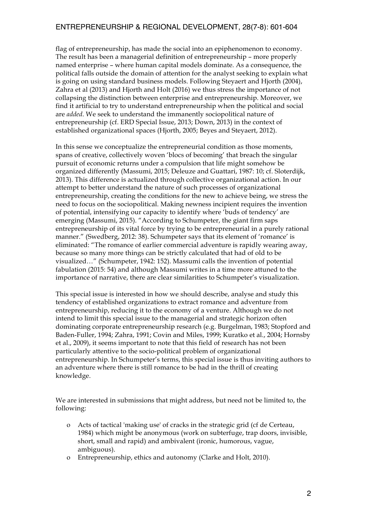flag of entrepreneurship, has made the social into an epiphenomenon to economy. The result has been a managerial definition of entrepreneurship – more properly named enterprise – where human capital models dominate. As a consequence, the political falls outside the domain of attention for the analyst seeking to explain what is going on using standard business models. Following Steyaert and Hjorth (2004), Zahra et al (2013) and Hjorth and Holt (2016) we thus stress the importance of not collapsing the distinction between enterprise and entrepreneurship. Moreover, we find it artificial to try to understand entrepreneurship when the political and social are *added*. We seek to understand the immanently sociopolitical nature of entrepreneurship (cf. ERD Special Issue, 2013; Down, 2013) in the context of established organizational spaces (Hjorth, 2005; Beyes and Steyaert, 2012).

In this sense we conceptualize the entrepreneurial condition as those moments, spans of creative, collectively woven 'blocs of becoming' that breach the singular pursuit of economic returns under a compulsion that life might somehow be organized differently (Massumi, 2015; Deleuze and Guattari, 1987: 10; cf. Sloterdijk, 2013). This difference is actualized through collective organizational action. In our attempt to better understand the nature of such processes of organizational entrepreneurship, creating the conditions for the new to achieve being, we stress the need to focus on the sociopolitical. Making newness incipient requires the invention of potential, intensifying our capacity to identify where 'buds of tendency' are emerging (Massumi, 2015). "According to Schumpeter, the giant firm saps entrepreneurship of its vital force by trying to be entrepreneurial in a purely rational manner." (Swedberg, 2012: 38). Schumpeter says that its element of 'romance' is eliminated: "The romance of earlier commercial adventure is rapidly wearing away, because so many more things can be strictly calculated that had of old to be visualized…" (Schumpeter, 1942: 152). Massumi calls the invention of potential fabulation (2015: 54) and although Massumi writes in a time more attuned to the importance of narrative, there are clear similarities to Schumpeter's visualization.

This special issue is interested in how we should describe, analyse and study this tendency of established organizations to extract romance and adventure from entrepreneurship, reducing it to the economy of a venture. Although we do not intend to limit this special issue to the managerial and strategic horizon often dominating corporate entrepreneurship research (e.g. Burgelman, 1983; Stopford and Baden-Fuller, 1994; Zahra, 1991; Covin and Miles, 1999; Kuratko et al., 2004; Hornsby et al., 2009), it seems important to note that this field of research has not been particularly attentive to the socio-political problem of organizational entrepreneurship. In Schumpeter's terms, this special issue is thus inviting authors to an adventure where there is still romance to be had in the thrill of creating knowledge.

We are interested in submissions that might address, but need not be limited to, the following:

- o Acts of tactical 'making use' of cracks in the strategic grid (cf de Certeau, 1984) which might be anonymous (work on subterfuge, trap doors, invisible, short, small and rapid) and ambivalent (ironic, humorous, vague, ambiguous).
- o Entrepreneurship, ethics and autonomy (Clarke and Holt, 2010).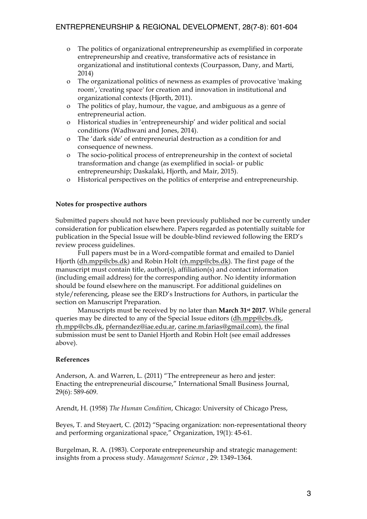- o The politics of organizational entrepreneurship as exemplified in corporate entrepreneurship and creative, transformative acts of resistance in organizational and institutional contexts (Courpasson, Dany, and Marti, 2014)
- o The organizational politics of newness as examples of provocative 'making room', 'creating space' for creation and innovation in institutional and organizational contexts (Hjorth, 2011).
- o The politics of play, humour, the vague, and ambiguous as a genre of entrepreneurial action.
- o Historical studies in 'entrepreneurship' and wider political and social conditions (Wadhwani and Jones, 2014).
- o The 'dark side' of entrepreneurial destruction as a condition for and consequence of newness.
- o The socio-political process of entrepreneurship in the context of societal transformation and change (as exemplified in social- or public entrepreneurship; Daskalaki, Hjorth, and Mair, 2015).
- o Historical perspectives on the politics of enterprise and entrepreneurship.

#### **Notes for prospective authors**

Submitted papers should not have been previously published nor be currently under consideration for publication elsewhere. Papers regarded as potentially suitable for publication in the Special Issue will be double-blind reviewed following the ERD's review process guidelines.

Full papers must be in a Word-compatible format and emailed to Daniel Hjorth (dh.mpp@cbs.dk) and Robin Holt (rh.mpp@cbs.dk). The first page of the manuscript must contain title, author(s), affiliation(s) and contact information (including email address) for the corresponding author. No identity information should be found elsewhere on the manuscript. For additional guidelines on style/referencing, please see the ERD's Instructions for Authors, in particular the section on Manuscript Preparation.

Manuscripts must be received by no later than **March 31st 2017**. While general queries may be directed to any of the Special Issue editors (dh.mpp@cbs.dk, rh.mpp@cbs.dk, pfernandez@iae.edu.ar, carine.m.farias@gmail.com), the final submission must be sent to Daniel Hjorth and Robin Holt (see email addresses above).

#### **References**

Anderson, A. and Warren, L. (2011) "The entrepreneur as hero and jester: Enacting the entrepreneurial discourse," International Small Business Journal, 29(6): 589-609.

Arendt, H. (1958) *The Human Condition*, Chicago: University of Chicago Press,

Beyes, T. and Steyaert, C. (2012) "Spacing organization: non-representational theory and performing organizational space," Organization, 19(1): 45-61.

Burgelman, R. A. (1983). Corporate entrepreneurship and strategic management: insights from a process study. *Management Science* , 29: 1349–1364.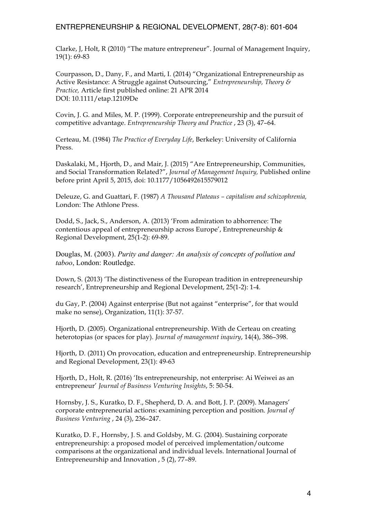Clarke, J, Holt, R (2010) "The mature entrepreneur". Journal of Management Inquiry, 19(1): 69-83

Courpasson, D., Dany, F., and Marti, I. (2014) "Organizational Entrepreneurship as Active Resistance: A Struggle against Outsourcing," *Entrepreneurship, Theory & Practice,* Article first published online: 21 APR 2014 DOI: 10.1111/etap.12109De

Covin, J. G. and Miles, M. P. (1999). Corporate entrepreneurship and the pursuit of competitive advantage. *Entrepreneurship Theory and Practice* , 23 (3), 47–64.

Certeau, M. (1984) *The Practice of Everyday Life*, Berkeley: University of California Press.

Daskalaki, M., Hjorth, D., and Mair, J. (2015) "Are Entrepreneurship, Communities, and Social Transformation Related?", *Journal of Management Inquiry,* Published online before print April 5, 2015, doi: 10.1177/1056492615579012

Deleuze, G. and Guattari, F. (1987) *A Thousand Plateaus – capitalism and schizophrenia,* London: The Athlone Press.

Dodd, S., Jack, S., Anderson, A. (2013) 'From admiration to abhorrence: The contentious appeal of entrepreneurship across Europe', Entrepreneurship & Regional Development, 25(1-2): 69-89.

Douglas, M. (2003). *Purity and danger: An analysis of concepts of pollution and taboo*, London: Routledge.

Down, S. (2013) 'The distinctiveness of the European tradition in entrepreneurship research', Entrepreneurship and Regional Development, 25(1-2): 1-4.

du Gay, P. (2004) Against enterprise (But not against "enterprise", for that would make no sense), Organization, 11(1): 37-57.

Hjorth, D. (2005). Organizational entrepreneurship. With de Certeau on creating heterotopias (or spaces for play). *Journal of management inquiry*, 14(4), 386–398.

Hjorth, D. (2011) On provocation, education and entrepreneurship. Entrepreneurship and Regional Development, 23(1): 49-63

Hjorth, D., Holt, R. (2016) 'Its entrepreneurship, not enterprise: Ai Weiwei as an entrepreneur' *Journal of Business Venturing Insights*, 5: 50-54.

Hornsby, J. S., Kuratko, D. F., Shepherd, D. A. and Bott, J. P. (2009). Managers' corporate entrepreneurial actions: examining perception and position. *Journal of Business Venturing* , 24 (3), 236–247.

Kuratko, D. F., Hornsby, J. S. and Goldsby, M. G. (2004). Sustaining corporate entrepreneurship: a proposed model of perceived implementation/outcome comparisons at the organizational and individual levels. International Journal of Entrepreneurship and Innovation , 5 (2), 77–89.